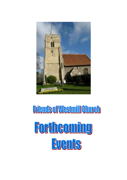

# **Friend's off Westmill Ghureh** Fortheoming EVents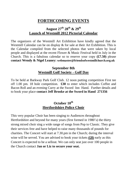# **FORTHCOMING EVENTS**

# **August 27th 28th & 29th Launch of Westmill 2012 Pictorial Calendar**

The organizers of the Westmill Art Exhibition have kindly agreed that the Westmill Calendar can be on display & for sale at their Art Exhibition. This is the Calendar compiled from the selected photos that were taken by local people and displayed at the recent Flower & Music Festival held in July in the Church. This is a fabulous calendar so to reserve your copy **(£7.50)** please **contact Wendy & Nigel Leaney: webmaster@friendsofwestmillchurch.org.uk**

#### **September 8th Westmill Golf Society - Golf Day**

To be held at Barkway Park Golf Club. 12 noon putting competition First tee off 1.00 pm. 18 hole competition. **£30** to enter which includes Coffee and Bacon Roll and an evening Curry at the Sword Inn Hand. Further details and to book your place **contact Jeff Brooke at the Sword in Hand 271356**

### **October 10th Hertfordshire Police Choir**

This very popular Choir has been singing to Audiences throughout Hertfordshire and beyond for many years (first formed in 1980's) the thirty strong mixed choir sing a wide range of songs from Pop to Classic. They give their services free and have helped to raise many thousands of pounds for charities. The Concert will start at 7.30.pm in the Church; during the interval wine will be served. You are advised to book your tickets **(£8)** early as this Concert is expected to be a sellout. We can only seat just over 100 people in the Church contact **Jan or Liz to secure your seat.**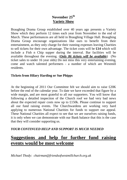## **November 25th Variety Show**

Braughing Drama Group established over 40 years ago presents a Variety Show which they perform 12 times each year from November to the end of March. These performances are all held in Braughing Village Hall. Braughing Drama Group encourage organizations like ours to benefit from their entertainment, as they only charge for their running expenses leaving Charities to sell tickets for their own advantage. The ticket costs will be **£14** which will include a Fish n Chip supper during the interval. Bar facilities will be available throughout the evening. (*Only 86 tickets will be available*) (No ticket sales to under 16 year olds) Do not miss this very entertaining evening, come and watch talented performers - a number of which are Westmill residents.

#### **Tickets from Hilary Harding or Sue Phipps**

At the beginning of 2011 Our Committee felt we should aim to raise £20K before the end of the calendar year. To date we have exceeded that figure by a wide margin, and are most grateful to all our supporters. You will know that following a detailed inspection of the Church roof we had very bad news about the expected repair costs now up to £150k. Please continue to support all our fund raising events. The Churchwardens are working very hard applying to numerous National Charities for funds to support our appeal. These National Charities all expect to see that we are ourselves raising funds, it is only when we can demonstrate with our Bank balance that this is the case that they will consider supporting us.

#### *YOUR CONTINUED HELP AND SUPPORT IS MUCH NEEDED*

# **Suggestions and help for further fund raising events would be most welcome**

*Michael Thody: chairman@friendsofwestmillchurch.org.uk*